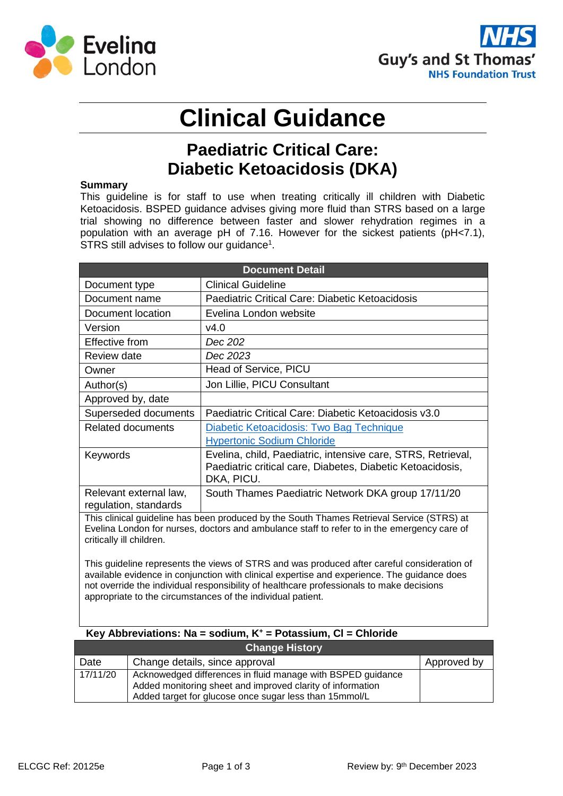



# **Clinical Guidance**

### **Paediatric Critical Care: Diabetic Ketoacidosis (DKA)**

#### **Summary**

This guideline is for staff to use when treating critically ill children with Diabetic Ketoacidosis. BSPED guidance advises giving more fluid than STRS based on a large trial showing no difference between faster and slower rehydration regimes in a population with an average pH of 7.16. However for the sickest patients (pH<7.1), STRS still advises to follow our guidance<sup>1</sup>.

| <b>Document Detail</b>                                                                                                                                                                                               |                                                                                                                                          |  |  |  |  |  |  |  |  |  |
|----------------------------------------------------------------------------------------------------------------------------------------------------------------------------------------------------------------------|------------------------------------------------------------------------------------------------------------------------------------------|--|--|--|--|--|--|--|--|--|
| Document type                                                                                                                                                                                                        | <b>Clinical Guideline</b>                                                                                                                |  |  |  |  |  |  |  |  |  |
| Document name                                                                                                                                                                                                        | Paediatric Critical Care: Diabetic Ketoacidosis                                                                                          |  |  |  |  |  |  |  |  |  |
| Document location                                                                                                                                                                                                    | Evelina London website                                                                                                                   |  |  |  |  |  |  |  |  |  |
| Version                                                                                                                                                                                                              | v4.0                                                                                                                                     |  |  |  |  |  |  |  |  |  |
| Effective from                                                                                                                                                                                                       | Dec 202                                                                                                                                  |  |  |  |  |  |  |  |  |  |
| Review date                                                                                                                                                                                                          | Dec 2023                                                                                                                                 |  |  |  |  |  |  |  |  |  |
| Owner                                                                                                                                                                                                                | Head of Service, PICU                                                                                                                    |  |  |  |  |  |  |  |  |  |
| Author(s)                                                                                                                                                                                                            | Jon Lillie, PICU Consultant                                                                                                              |  |  |  |  |  |  |  |  |  |
| Approved by, date                                                                                                                                                                                                    |                                                                                                                                          |  |  |  |  |  |  |  |  |  |
| Superseded documents                                                                                                                                                                                                 | Paediatric Critical Care: Diabetic Ketoacidosis v3.0                                                                                     |  |  |  |  |  |  |  |  |  |
| <b>Related documents</b>                                                                                                                                                                                             | Diabetic Ketoacidosis: Two Bag Technique                                                                                                 |  |  |  |  |  |  |  |  |  |
|                                                                                                                                                                                                                      | <b>Hypertonic Sodium Chloride</b>                                                                                                        |  |  |  |  |  |  |  |  |  |
| Keywords                                                                                                                                                                                                             | Evelina, child, Paediatric, intensive care, STRS, Retrieval,<br>Paediatric critical care, Diabetes, Diabetic Ketoacidosis,<br>DKA, PICU. |  |  |  |  |  |  |  |  |  |
| Relevant external law,<br>regulation, standards                                                                                                                                                                      | South Thames Paediatric Network DKA group 17/11/20                                                                                       |  |  |  |  |  |  |  |  |  |
| This clinical guideline has been produced by the South Thames Retrieval Service (STRS) at<br>Evelina London for nurses, doctors and ambulance staff to refer to in the emergency care of<br>critically ill children. |                                                                                                                                          |  |  |  |  |  |  |  |  |  |

This guideline represents the views of STRS and was produced after careful consideration of available evidence in conjunction with clinical expertise and experience. The guidance does not override the individual responsibility of healthcare professionals to make decisions appropriate to the circumstances of the individual patient.

#### **Key Abbreviations: Na = sodium, K<sup>+</sup> = Potassium, Cl = Chloride**

| <b>Change History</b> |                                                                                                                                                                                     |             |  |  |  |  |  |  |  |  |
|-----------------------|-------------------------------------------------------------------------------------------------------------------------------------------------------------------------------------|-------------|--|--|--|--|--|--|--|--|
| Date                  | Change details, since approval                                                                                                                                                      | Approved by |  |  |  |  |  |  |  |  |
| 17/11/20              | Acknowedged differences in fluid manage with BSPED guidance<br>Added monitoring sheet and improved clarity of information<br>Added target for glucose once sugar less than 15mmol/L |             |  |  |  |  |  |  |  |  |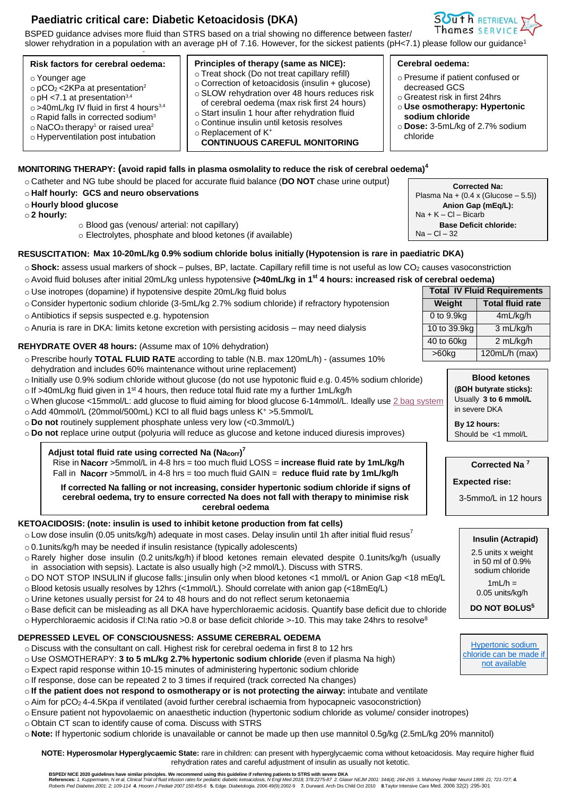#### **Paediatric critical care: Diabetic Ketoacidosis (DKA)**

BSPED guidance advises more fluid than STRS based on a trial showing no difference between faster/ slower rehydration in a population with an average pH of 7.16. However, for the sickest patients (pH<7.1) please follow our guidance<sup>1</sup>

#### **MONITORING THERAPY: (avoid rapid falls in plasma osmolality to reduce the risk of cerebral oedema)<sup>4</sup>** o Catheter and NG tube should be placed for accurate fluid balance (**DO NOT** chase urine output) o **Half hourly: GCS and neuro observations** o **Hourly blood glucose** o **2 hourly:** o Blood gas (venous/ arterial: not capillary) o Electrolytes, phosphate and blood ketones (if available) **RESUSCITATION: Max 10-20mL/kg 0.9% sodium chloride bolus initially (Hypotension is rare in paediatric DKA) Risk factors for cerebral oedema:** o Younger age  $\circ$  pCO<sub>2</sub> <2KPa at presentation<sup>2</sup>  $\circ$  pH <7.1 at presentation<sup>3,4</sup> o >40mL/kg IV fluid in first 4 hours<sup>3,4</sup> o Rapid falls in corrected sodium<sup>3</sup>  $\circ$  NaCO<sub>3</sub> therapy<sup>1</sup> or raised urea<sup>2</sup> o Hyperventilation post intubation **Principles of therapy (same as NICE):** o Treat shock (Do not treat capillary refill) o Correction of ketoacidosis (insulin + glucose) o SLOW rehydration over 48 hours reduces risk of cerebral oedema (max risk first 24 hours) o Start insulin 1 hour after rehydration fluid o Continue insulin until ketosis resolves o Replacement of K<sup>+</sup> **CONTINUOUS CAREFUL MONITORING Cerebral oedema:** o Presume if patient confused or decreased GCS o Greatest risk in first 24hrs o **Use osmotherapy: Hypertonic sodium chloride** o **Dose:** 3-5mL/kg of 2.7% sodium chloride **Corrected Na:** Plasma Na +  $(0.4 \times (Glucose - 5.5))$ **Anion Gap (mEq/L):**  $Na + K - Cl - Bicarb$ **Base Deficit chloride:** Na – Cl – 32

○ **Shock:** assess usual markers of shock – pulses, BP, lactate. Capillary refill time is not useful as low CO<sub>2</sub> causes vasoconstriction

o Avoid fluid boluses after initial 20mL/kg unless hypotensive **(>40mL/kg in 1 st 4 hours: increased risk of cerebral oedema)**

- o Use inotropes (dopamine) if hypotensive despite 20mL/kg fluid bolus
- o Consider hypertonic sodium chloride (3-5mL/kg 2.7% sodium chloride) if refractory hypotension
- o Antibiotics if sepsis suspected e.g. hypotension
- o Anuria is rare in DKA: limits ketone excretion with persisting acidosis may need dialysis

#### **REHYDRATE OVER 48 hours:** (Assume max of 10% dehydration)

- o Prescribe hourly **TOTAL FLUID RATE** according to table (N.B. max 120mL/h) (assumes 10% dehydration and includes 60% maintenance without urine replacement)
- o Initially use 0.9% sodium chloride without glucose (do not use hypotonic fluid e.g. 0.45% sodium chloride)
- $\circ$  If >40mL/kg fluid given in 1<sup>st</sup> 4 hours, then reduce total fluid rate my a further 1mL/kg/h
- o When glucose <15mmol/L: add glucose to fluid aiming for blood glucose 6-14mmol/L. Ideally use [2 bag system](http://tww-wafr/WAFR-FAD/Applications/ClinicalGuidance/User/Details.aspx?id=8224)
- o Add 40mmol/L (20mmol/500mL) KCl to all fluid bags unless K<sup>+</sup> >5.5mmol/L
- o **Do not** routinely supplement phosphate unless very low (<0.3mmol/L)
- o **Do not** replace urine output (polyuria will reduce as glucose and ketone induced diuresis improves)

**Adjust total fluid rate using corrected Na (Nacorr) 7** Rise in **Nacorr** >5mmol/L in 4-8 hrs = too much fluid LOSS = **increase fluid rate by 1mL/kg/h** Fall in **Nacorr** >5mmol/L in 4-8 hrs = too much fluid GAIN = **reduce fluid rate by 1mL/kg/h**

**If corrected Na falling or not increasing, consider hypertonic sodium chloride if signs of cerebral oedema, try to ensure corrected Na does not fall with therapy to minimise risk cerebral oedema**

#### **KETOACIDOSIS: (note: insulin is used to inhibit ketone production from fat cells)**

- $\circ$  Low dose insulin (0.05 units/kg/h) adequate in most cases. Delay insulin until 1h after initial fluid resus<sup>7</sup>
- o 0.1units/kg/h may be needed if insulin resistance (typically adolescents)
- o Rarely higher dose insulin (0.2 units/kg/h) if blood ketones remain elevated despite 0.1units/kg/h (usually
- in association with sepsis). Lactate is also usually high (>2 mmol/L). Discuss with STRS.
- o DO NOT STOP INSULIN if glucose falls:↓insulin only when blood ketones <1 mmol/L or Anion Gap <18 mEq/L
- o Blood ketosis usually resolves by 12hrs (<1mmol/L). Should correlate with anion gap (<18mEq/L)
- o Urine ketones usually persist for 24 to 48 hours and do not reflect serum ketonaemia
- o Base deficit can be misleading as all DKA have hyperchloraemic acidosis. Quantify base deficit due to chloride
- $\circ$  Hyperchloraemic acidosis if Cl:Na ratio >0.8 or base deficit chloride >-10. This may take 24hrs to resolve<sup>8</sup>

### **DEPRESSED LEVEL OF CONSCIOUSNESS: ASSUME CEREBRAL OEDEMA**

- o Discuss with the consultant on call. Highest risk for cerebral oedema in first 8 to 12 hrs
- o Use OSMOTHERAPY: **3 to 5 mL/kg 2.7% hypertonic sodium chloride** (even if plasma Na high)
- o Expect rapid response within 10-15 minutes of administering hypertonic sodium chloride
- o If response, dose can be repeated 2 to 3 times if required (track corrected Na changes)
- o **If the patient does not respond to osmotherapy or is not protecting the airway:** intubate and ventilate
- o Aim for pCO<sup>2</sup> 4-4.5Kpa if ventilated (avoid further cerebral ischaemia from hypocapneic vasoconstriction)
- o Ensure patient not hypovolaemic on anaesthetic induction (hypertonic sodium chloride as volume/ consider inotropes)
- o Obtain CT scan to identify cause of coma. Discuss with STRS

o **Note:** If hypertonic sodium chloride is unavailable or cannot be made up then use mannitol 0.5g/kg (2.5mL/kg 20% mannitol)

**NOTE: Hyperosmolar Hyperglycaemic State:** rare in children: can present with hyperglycaemic coma without ketoacidosis. May require higher fluid rehydration rates and careful adjustment of insulin as usually not ketotic.

BSPED/ NICE 2020 guidelines have similar principles. We recommend using this guideline if referring patients to STRS with severe DKA<br>References: 1. Kuppermann, Net al, Clinical Trial of fluid infusion rates for pediatric d

**Total IV Fluid Requirements Weight Total fluid rate**  $0$  to  $9.9$ kg  $4$ mL/kg/h 10 to  $39.9$ kg  $\vert$  3 mL/kg/h 40 to 60kg 2 mL/kg/h >60kg 120mL/h (max)

> **Blood ketones (βOH butyrate sticks):** Usually **3 to 6 mmol/L** in severe DKA

**By 12 hours:** Should be <1 mmol/L

#### **Corrected Na <sup>7</sup>**

#### **Expected rise:**

3-5mmo/L in 12 hours

#### **Insulin (Actrapid)**

2.5 units x weight in 50 ml of 0.9% sodium chloride

 $1mL/h =$ 0.05 units/kg/h

**DO NOT BOLUS<sup>5</sup>**

[Hypertonic sodium](http://tww-wafr/WAFR-FAD/Applications/ClinicalGuidance/DocumentViewer.aspx?d=6528)  [chloride can be made if](http://tww-wafr/WAFR-FAD/Applications/ClinicalGuidance/DocumentViewer.aspx?d=6528)  [not available](http://tww-wafr/WAFR-FAD/Applications/ClinicalGuidance/DocumentViewer.aspx?d=6528)